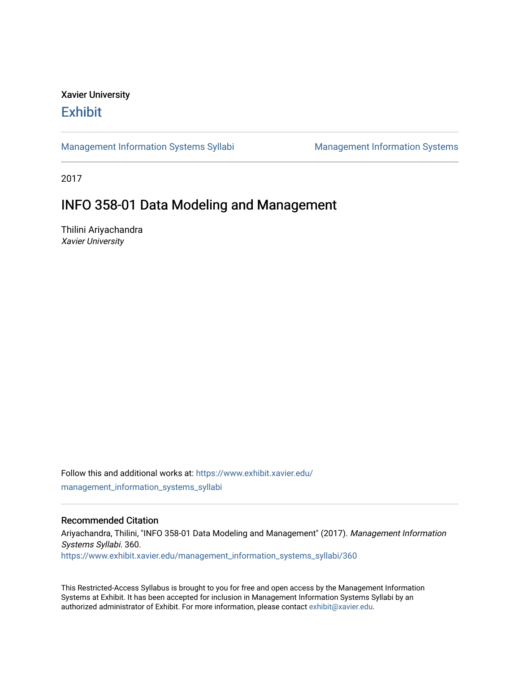# Xavier University **Exhibit**

[Management Information Systems Syllabi](https://www.exhibit.xavier.edu/management_information_systems_syllabi) Management Information Systems

2017

# INFO 358-01 Data Modeling and Management

Thilini Ariyachandra Xavier University

Follow this and additional works at: [https://www.exhibit.xavier.edu/](https://www.exhibit.xavier.edu/management_information_systems_syllabi?utm_source=www.exhibit.xavier.edu%2Fmanagement_information_systems_syllabi%2F360&utm_medium=PDF&utm_campaign=PDFCoverPages) [management\\_information\\_systems\\_syllabi](https://www.exhibit.xavier.edu/management_information_systems_syllabi?utm_source=www.exhibit.xavier.edu%2Fmanagement_information_systems_syllabi%2F360&utm_medium=PDF&utm_campaign=PDFCoverPages) 

#### Recommended Citation

Ariyachandra, Thilini, "INFO 358-01 Data Modeling and Management" (2017). Management Information Systems Syllabi. 360. [https://www.exhibit.xavier.edu/management\\_information\\_systems\\_syllabi/360](https://www.exhibit.xavier.edu/management_information_systems_syllabi/360?utm_source=www.exhibit.xavier.edu%2Fmanagement_information_systems_syllabi%2F360&utm_medium=PDF&utm_campaign=PDFCoverPages) 

This Restricted-Access Syllabus is brought to you for free and open access by the Management Information Systems at Exhibit. It has been accepted for inclusion in Management Information Systems Syllabi by an authorized administrator of Exhibit. For more information, please contact [exhibit@xavier.edu](mailto:exhibit@xavier.edu).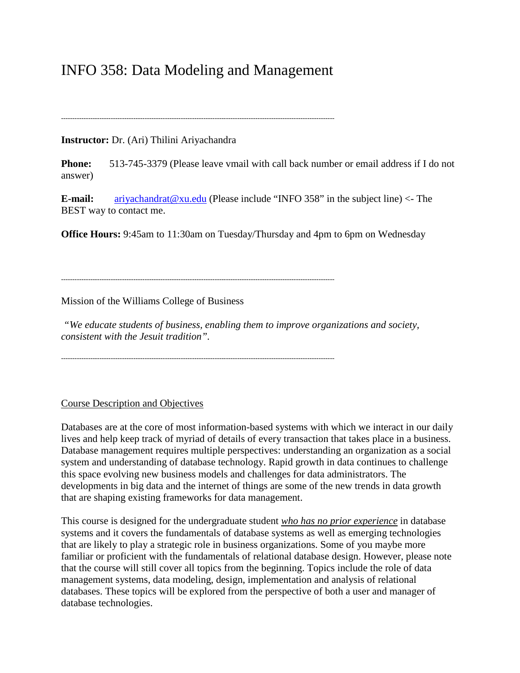# INFO 358: Data Modeling and Management

-------------------------------------------------------------------------------------------------------------------------

## **Instructor:** Dr. (Ari) Thilini Ariyachandra

**Phone:** 513-745-3379 (Please leave vmail with call back number or email address if I do not answer)

**E-mail:** [ariyachandrat@xu.edu](mailto:ariyachandrat@xu.edu) (Please include "INFO 358" in the subject line) <- The BEST way to contact me.

**Office Hours:** 9:45am to 11:30am on Tuesday/Thursday and 4pm to 6pm on Wednesday

-------------------------------------------------------------------------------------------------------------------------

Mission of the Williams College of Business

*"We educate students of business, enabling them to improve organizations and society, consistent with the Jesuit tradition".*

-------------------------------------------------------------------------------------------------------------------------

#### Course Description and Objectives

Databases are at the core of most information-based systems with which we interact in our daily lives and help keep track of myriad of details of every transaction that takes place in a business. Database management requires multiple perspectives: understanding an organization as a social system and understanding of database technology. Rapid growth in data continues to challenge this space evolving new business models and challenges for data administrators. The developments in big data and the internet of things are some of the new trends in data growth that are shaping existing frameworks for data management.

This course is designed for the undergraduate student *who has no prior experience* in database systems and it covers the fundamentals of database systems as well as emerging technologies that are likely to play a strategic role in business organizations. Some of you maybe more familiar or proficient with the fundamentals of relational database design. However, please note that the course will still cover all topics from the beginning. Topics include the role of data management systems, data modeling, design, implementation and analysis of relational databases. These topics will be explored from the perspective of both a user and manager of database technologies.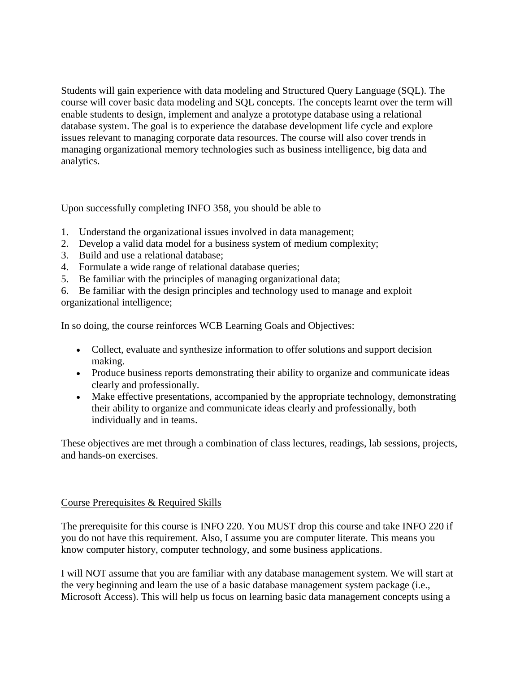Students will gain experience with data modeling and Structured Query Language (SQL). The course will cover basic data modeling and SQL concepts. The concepts learnt over the term will enable students to design, implement and analyze a prototype database using a relational database system. The goal is to experience the database development life cycle and explore issues relevant to managing corporate data resources. The course will also cover trends in managing organizational memory technologies such as business intelligence, big data and analytics.

Upon successfully completing INFO 358, you should be able to

- 1. Understand the organizational issues involved in data management;
- 2. Develop a valid data model for a business system of medium complexity;
- 3. Build and use a relational database;
- 4. Formulate a wide range of relational database queries;
- 5. Be familiar with the principles of managing organizational data;

6. Be familiar with the design principles and technology used to manage and exploit organizational intelligence;

In so doing, the course reinforces WCB Learning Goals and Objectives:

- Collect, evaluate and synthesize information to offer solutions and support decision making.
- Produce business reports demonstrating their ability to organize and communicate ideas clearly and professionally.
- Make effective presentations, accompanied by the appropriate technology, demonstrating their ability to organize and communicate ideas clearly and professionally, both individually and in teams.

These objectives are met through a combination of class lectures, readings, lab sessions, projects, and hands-on exercises.

# Course Prerequisites & Required Skills

The prerequisite for this course is INFO 220. You MUST drop this course and take INFO 220 if you do not have this requirement. Also, I assume you are computer literate. This means you know computer history, computer technology, and some business applications.

I will NOT assume that you are familiar with any database management system. We will start at the very beginning and learn the use of a basic database management system package (i.e., Microsoft Access). This will help us focus on learning basic data management concepts using a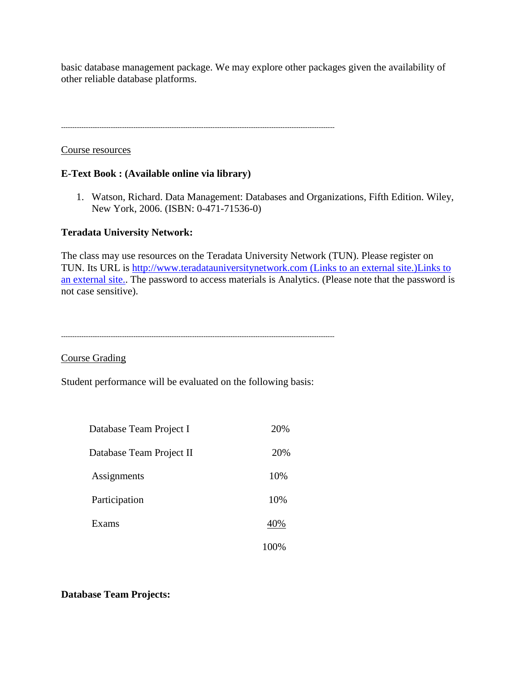basic database management package. We may explore other packages given the availability of other reliable database platforms.

-------------------------------------------------------------------------------------------------------------------------

Course resources

## **E-Text Book : (Available online via library)**

1. Watson, Richard. Data Management: Databases and Organizations, Fifth Edition. Wiley, New York, 2006. (ISBN: 0-471-71536-0)

## **Teradata University Network:**

The class may use resources on the Teradata University Network (TUN). Please register on TUN. Its URL is [http://www.teradatauniversitynetwork.com](http://www.teradatauniversitynetwork.com/) (Links to an external site.)Links to [an external site..](http://www.teradatauniversitynetwork.com/) The password to access materials is Analytics. (Please note that the password is not case sensitive).

-------------------------------------------------------------------------------------------------------------------------

Course Grading

Student performance will be evaluated on the following basis:

| Database Team Project I  | 20% |
|--------------------------|-----|
| Database Team Project II | 20% |
| Assignments              | 10% |
| Participation            | 10% |
| Exams                    | 40% |
|                          |     |

#### **Database Team Projects:**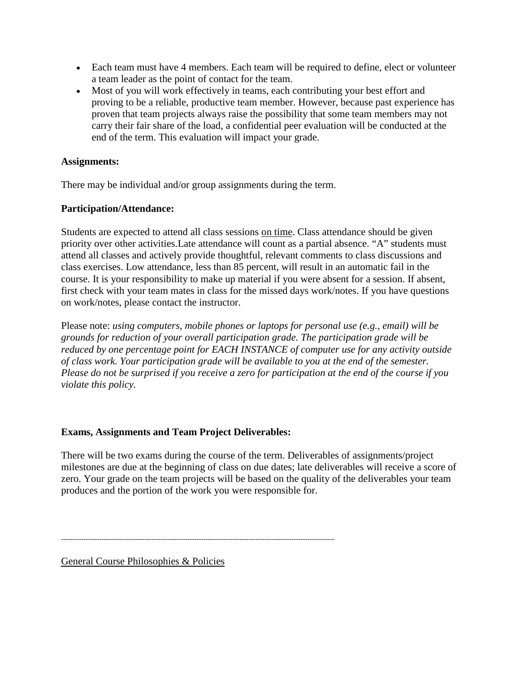- Each team must have 4 members. Each team will be required to define, elect or volunteer a team leader as the point of contact for the team.
- Most of you will work effectively in teams, each contributing your best effort and proving to be a reliable, productive team member. However, because past experience has proven that team projects always raise the possibility that some team members may not carry their fair share of the load, a confidential peer evaluation will be conducted at the end of the term. This evaluation will impact your grade.

# **Assignments:**

There may be individual and/or group assignments during the term.

## **Participation/Attendance:**

Students are expected to attend all class sessions on time. Class attendance should be given priority over other activities.Late attendance will count as a partial absence. "A" students must attend all classes and actively provide thoughtful, relevant comments to class discussions and class exercises. Low attendance, less than 85 percent, will result in an automatic fail in the course. It is your responsibility to make up material if you were absent for a session. If absent, first check with your team mates in class for the missed days work/notes. If you have questions on work/notes, please contact the instructor.

Please note: *using computers, mobile phones or laptops for personal use (e.g., email) will be grounds for reduction of your overall participation grade. The participation grade will be reduced by one percentage point for EACH INSTANCE of computer use for any activity outside of class work. Your participation grade will be available to you at the end of the semester. Please do not be surprised if you receive a zero for participation at the end of the course if you violate this policy.*

# **Exams, Assignments and Team Project Deliverables:**

There will be two exams during the course of the term. Deliverables of assignments/project milestones are due at the beginning of class on due dates; late deliverables will receive a score of zero. Your grade on the team projects will be based on the quality of the deliverables your team produces and the portion of the work you were responsible for.

-------------------------------------------------------------------------------------------------------------------------

General Course Philosophies & Policies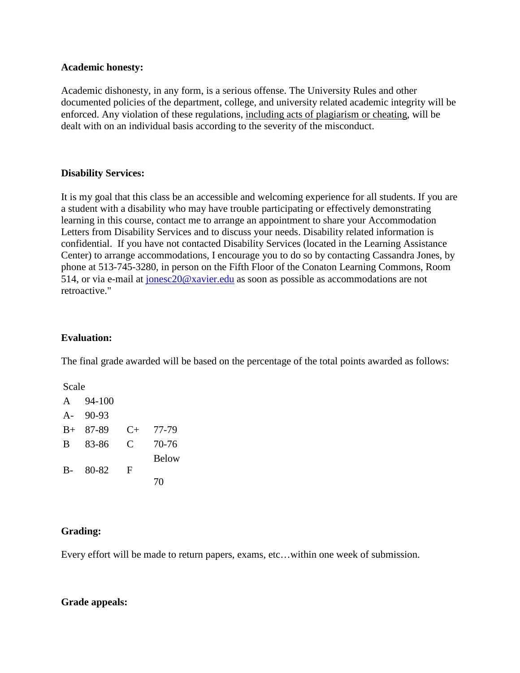#### **Academic honesty:**

Academic dishonesty, in any form, is a serious offense. The University Rules and other documented policies of the department, college, and university related academic integrity will be enforced. Any violation of these regulations, including acts of plagiarism or cheating, will be dealt with on an individual basis according to the severity of the misconduct.

## **Disability Services:**

It is my goal that this class be an accessible and welcoming experience for all students. If you are a student with a disability who may have trouble participating or effectively demonstrating learning in this course, contact me to arrange an appointment to share your Accommodation Letters from Disability Services and to discuss your needs. Disability related information is confidential. If you have not contacted Disability Services (located in the Learning Assistance Center) to arrange accommodations, I encourage you to do so by contacting Cassandra Jones, by phone at 513-745-3280, in person on the Fifth Floor of the Conaton Learning Commons, Room 514, or via e-mail at [jonesc20@xavier.edu](mailto:jonesc20@xavier.edu) as soon as possible as accommodations are not retroactive."

# **Evaluation:**

The final grade awarded will be based on the percentage of the total points awarded as follows:

Scale

| A           | 94-100 |           |              |
|-------------|--------|-----------|--------------|
| $A -$       | 90-93  |           |              |
| $_{\rm B+}$ | 87-89  | $C_{\pm}$ | 77-79        |
| B           | 83-86  | C         | 70-76        |
|             |        |           | <b>Below</b> |
| $B-$        | 80-82  | F         |              |
|             |        |           | 70           |

# **Grading:**

Every effort will be made to return papers, exams, etc…within one week of submission.

#### **Grade appeals:**